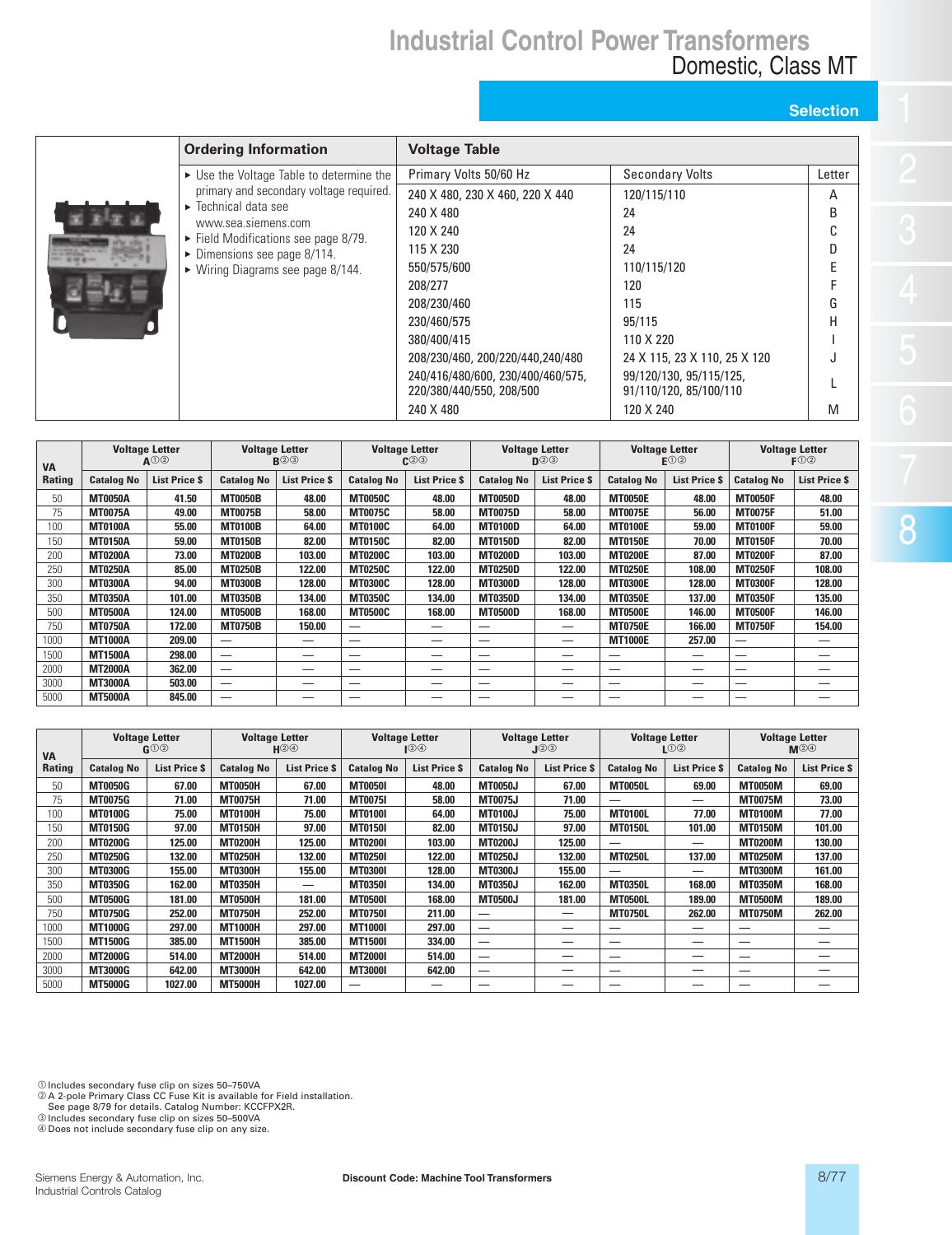## **Industrial Control Power Transformers** Domestic, Class MT

## **Selection**

| <b>PERSONAL PROPERTY</b><br>٠ |  |
|-------------------------------|--|
| ٠<br>٠<br>٠<br>۰<br>٠<br>٠    |  |
|                               |  |
|                               |  |
|                               |  |
|                               |  |
|                               |  |

| <b>Ordering Information</b>                                                | <b>Voltage Table</b>                                          |                                                   |              |
|----------------------------------------------------------------------------|---------------------------------------------------------------|---------------------------------------------------|--------------|
| ► Use the Voltage Table to determine the                                   | Primary Volts 50/60 Hz                                        | <b>Secondary Volts</b>                            | Letter       |
| primary and secondary voltage required.                                    | 240 X 480, 230 X 460, 220 X 440                               | 120/115/110                                       | A            |
| $\blacktriangleright$ Technical data see                                   | 240 X 480                                                     | 24                                                | <sub>B</sub> |
| www.sea.siemens.com<br>$\triangleright$ Field Modifications see page 8/79. | 120 X 240                                                     | 24                                                |              |
| $\triangleright$ Dimensions see page 8/114.                                | 115 X 230                                                     | 24                                                |              |
| $\triangleright$ Wiring Diagrams see page 8/144.                           | 550/575/600                                                   | 110/115/120                                       |              |
|                                                                            | 208/277                                                       | 120                                               |              |
|                                                                            | 208/230/460                                                   | 115                                               | G            |
|                                                                            | 230/460/575                                                   | 95/115                                            | H            |
|                                                                            | 380/400/415                                                   | 110 X 220                                         |              |
|                                                                            | 208/230/460, 200/220/440, 240/480                             | 24 X 115, 23 X 110, 25 X 120                      |              |
|                                                                            | 240/416/480/600, 230/400/460/575,<br>220/380/440/550, 208/500 | 99/120/130, 95/115/125,<br>91/110/120, 85/100/110 |              |
|                                                                            | 240 X 480                                                     | 120 X 240                                         | M            |
|                                                                            |                                                               |                                                   |              |

| <b>VA</b>     | <b>Voltage Letter</b><br>$A^{(1)}(2)$ |                     | <b>Voltage Letter</b><br>$R$ ②③ |                      | <b>Voltage Letter</b><br>$C$ ②③ |                      | <b>Voltage Letter</b><br>$D^{(2)}$ |                      | <b>Voltage Letter</b><br>F() |                      | <b>Voltage Letter</b><br>$F$ <sup>(1)</sup> <sup>(2)</sup> |                      |
|---------------|---------------------------------------|---------------------|---------------------------------|----------------------|---------------------------------|----------------------|------------------------------------|----------------------|------------------------------|----------------------|------------------------------------------------------------|----------------------|
| <b>Rating</b> | <b>Catalog No</b>                     | <b>List Price S</b> | <b>Catalog No</b>               | <b>List Price \$</b> | <b>Catalog No</b>               | <b>List Price \$</b> | <b>Catalog No</b>                  | <b>List Price \$</b> | <b>Catalog No</b>            | <b>List Price \$</b> | <b>Catalog No</b>                                          | <b>List Price \$</b> |
| 50            | <b>MT0050A</b>                        | 41.50               | <b>MT0050B</b>                  | 48.00                | <b>MT0050C</b>                  | 48.00                | <b>MT0050D</b>                     | 48.00                | <b>MT0050E</b>               | 48.00                | <b>MT0050F</b>                                             | 48.00                |
| 75            | <b>MT0075A</b>                        | 49.00               | <b>MT0075B</b>                  | 58.00                | <b>MT0075C</b>                  | 58.00                | <b>MT0075D</b>                     | 58.00                | <b>MT0075E</b>               | 56.00                | <b>MT0075F</b>                                             | 51.00                |
| 100           | <b>MT0100A</b>                        | 55.00               | <b>MT0100B</b>                  | 64.00                | <b>MT0100C</b>                  | 64.00                | <b>MT0100D</b>                     | 64.00                | <b>MT0100E</b>               | 59.00                | <b>MT0100F</b>                                             | 59.00                |
| 150           | <b>MT0150A</b>                        | 59.00               | <b>MT0150B</b>                  | 82.00                | <b>MT0150C</b>                  | 82.00                | <b>MT0150D</b>                     | 82.00                | <b>MT0150E</b>               | 70.00                | <b>MT0150F</b>                                             | 70.00                |
| 200           | <b>MT0200A</b>                        | 73.00               | <b>MT0200B</b>                  | 103.00               | <b>MT0200C</b>                  | 103.00               | <b>MT0200D</b>                     | 103.00               | <b>MT0200E</b>               | 87.00                | <b>MT0200F</b>                                             | 87.00                |
| 250           | <b>MT0250A</b>                        | 85.00               | <b>MT0250B</b>                  | 122.00               | <b>MT0250C</b>                  | 122.00               | <b>MT0250D</b>                     | 122.00               | <b>MT0250E</b>               | 108.00               | <b>MT0250F</b>                                             | 108.00               |
| 300           | <b>MT0300A</b>                        | 94.00               | <b>MT0300B</b>                  | 128.00               | <b>MT0300C</b>                  | 128.00               | <b>MT0300D</b>                     | 128.00               | <b>MT0300E</b>               | 128.00               | <b>MT0300F</b>                                             | 128.00               |
| 350           | <b>MT0350A</b>                        | 101.00              | <b>MT0350B</b>                  | 134.00               | <b>MT0350C</b>                  | 134.00               | <b>MT0350D</b>                     | 134.00               | <b>MT0350E</b>               | 137.00               | <b>MT0350F</b>                                             | 135.00               |
| 500           | <b>MT0500A</b>                        | 124.00              | <b>MT0500B</b>                  | 168.00               | <b>MT0500C</b>                  | 168.00               | <b>MT0500D</b>                     | 168.00               | <b>MT0500E</b>               | 146.00               | <b>MT0500F</b>                                             | 146.00               |
| 750           | <b>MT0750A</b>                        | 172.00              | <b>MT0750B</b>                  | 150.00               | _                               |                      |                                    | –                    | <b>MT0750E</b>               | 166.00               | <b>MT0750F</b>                                             | 154.00               |
| 1000          | <b>MT1000A</b>                        | 209.00              |                                 |                      |                                 |                      |                                    | _                    | <b>MT1000E</b>               | 257.00               | —                                                          |                      |
| 1500          | <b>MT1500A</b>                        | 298.00              |                                 |                      | -                               | __                   | --                                 | --                   |                              | _                    | _                                                          |                      |
| 2000          | <b>MT2000A</b>                        | 362.00              |                                 |                      | $\overline{\phantom{a}}$        | _                    | _                                  | _                    | --                           | --                   | –                                                          |                      |
| 3000          | <b>MT3000A</b>                        | 503.00              |                                 |                      |                                 | –                    |                                    | --                   |                              | –                    | –                                                          |                      |
| 5000          | <b>MT5000A</b>                        | 845.00              | $\overline{\phantom{a}}$        |                      |                                 |                      |                                    |                      | --                           |                      | –                                                          |                      |

| <b>VA</b>     | <b>Voltage Letter</b><br>$f_1 \odot \odot$ |                      | <b>Voltage Letter</b><br>⊮©⊛ |                     | <b>Voltage Letter</b><br>12O |                      | <b>Voltage Letter</b><br>J②③ |                      | <b>Voltage Letter</b><br>LOQ |                      | <b>Voltage Letter</b><br>$M$ $\circledcirc$ |                      |
|---------------|--------------------------------------------|----------------------|------------------------------|---------------------|------------------------------|----------------------|------------------------------|----------------------|------------------------------|----------------------|---------------------------------------------|----------------------|
| <b>Rating</b> | <b>Catalog No</b>                          | <b>List Price \$</b> | <b>Catalog No</b>            | <b>List Price S</b> | <b>Catalog No</b>            | <b>List Price \$</b> | <b>Catalog No</b>            | <b>List Price \$</b> | <b>Catalog No</b>            | <b>List Price \$</b> | <b>Catalog No</b>                           | <b>List Price \$</b> |
| 50            | <b>MT0050G</b>                             | 67.00                | <b>MT0050H</b>               | 67.00               | <b>MT0050I</b>               | 48.00                | <b>MT0050J</b>               | 67.00                | <b>MT0050L</b>               | 69.00                | <b>MT0050M</b>                              | 69.00                |
| 75            | <b>MT0075G</b>                             | 71.00                | <b>MT0075H</b>               | 71.00               | <b>MT00751</b>               | 58.00                | <b>MT0075J</b>               | 71.00                | --                           | —                    | <b>MT0075M</b>                              | 73.00                |
| 100           | <b>MT0100G</b>                             | 75.00                | <b>MT0100H</b>               | 75.00               | <b>MT0100I</b>               | 64.00                | <b>MT0100J</b>               | 75.00                | <b>MT0100L</b>               | 77.00                | <b>MT0100M</b>                              | 77.00                |
| 150           | <b>MT0150G</b>                             | 97.00                | <b>MT0150H</b>               | 97.00               | <b>MT0150I</b>               | 82.00                | <b>MT0150J</b>               | 97.00                | <b>MT0150L</b>               | 101.00               | <b>MT0150M</b>                              | 101.00               |
| 200           | <b>MT0200G</b>                             | 125.00               | <b>MT0200H</b>               | 125.00              | <b>MT02001</b>               | 103.00               | <b>MT0200J</b>               | 125.00               | --                           | –                    | <b>MT0200M</b>                              | 130.00               |
| 250           | <b>MT0250G</b>                             | 132.00               | <b>MT0250H</b>               | 132.00              | <b>MT02501</b>               | 122.00               | <b>MT0250J</b>               | 132.00               | <b>MT0250L</b>               | 137.00               | <b>MT0250M</b>                              | 137.00               |
| 300           | <b>MT0300G</b>                             | 155.00               | <b>MT0300H</b>               | 155.00              | <b>MT0300I</b>               | 128.00               | <b>MT0300J</b>               | 155.00               | --                           | _                    | <b>MT0300M</b>                              | 161.00               |
| 350           | <b>MT0350G</b>                             | 162.00               | <b>MT0350H</b>               | -                   | <b>MT0350I</b>               | 134.00               | <b>MT0350J</b>               | 162.00               | <b>MT0350L</b>               | 168.00               | <b>MT0350M</b>                              | 168.00               |
| 500           | <b>MT0500G</b>                             | 181.00               | <b>MT0500H</b>               | 181.00              | <b>MT0500I</b>               | 168.00               | <b>MT0500J</b>               | 181.00               | <b>MT0500L</b>               | 189.00               | <b>MT0500M</b>                              | 189.00               |
| 750           | <b>MT0750G</b>                             | 252.00               | <b>MT0750H</b>               | 252.00              | <b>MT0750I</b>               | 211.00               | —                            | –                    | <b>MT0750L</b>               | 262.00               | <b>MT0750M</b>                              | 262.00               |
| 1000          | <b>MT1000G</b>                             | 297.00               | <b>MT1000H</b>               | 297.00              | <b>MT1000I</b>               | 297.00               | —                            | _                    | _                            | _                    | _                                           | _                    |
| 1500          | <b>MT1500G</b>                             | 385.00               | <b>MT1500H</b>               | 385.00              | <b>MT1500I</b>               | 334.00               | —                            | –                    | –                            | –                    | _                                           | –                    |
| 2000          | <b>MT2000G</b>                             | 514.00               | <b>MT2000H</b>               | 514.00              | <b>MT2000I</b>               | 514.00               | —                            | _                    | --                           | _                    | --                                          |                      |
| 3000          | <b>MT3000G</b>                             | 642.00               | <b>MT3000H</b>               | 642.00              | <b>MT3000I</b>               | 642.00               | –                            |                      | –                            | –                    | –                                           | __                   |
| 5000          | <b>MT5000G</b>                             | 1027.00              | <b>MT5000H</b>               | 1027.00             | --                           | --                   |                              | _                    | --                           | _                    |                                             |                      |

© Includes secondary fuse clip on sizes 50–750VA<br>© A 2-pole Primary Class CC Fuse Kit is available for Field installation.<br>See page 8/79 for details. Catalog Number: KCCFPX2R.<br>© Includes secondary fuse clip on sizes 50–50